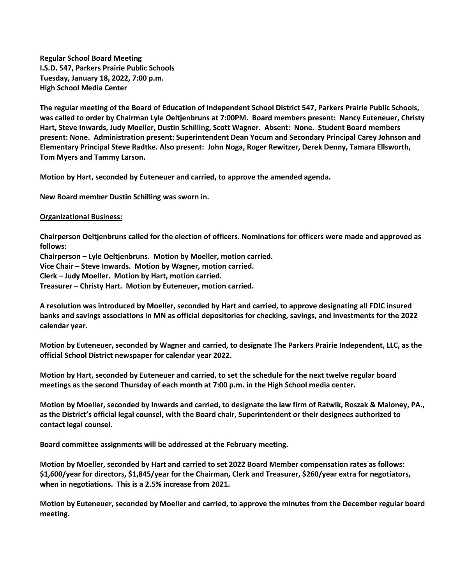**Regular School Board Meeting I.S.D. 547, Parkers Prairie Public Schools Tuesday, January 18, 2022, 7:00 p.m. High School Media Center**

**The regular meeting of the Board of Education of Independent School District 547, Parkers Prairie Public Schools, was called to order by Chairman Lyle Oeltjenbruns at 7:00PM. Board members present: Nancy Euteneuer, Christy Hart, Steve Inwards, Judy Moeller, Dustin Schilling, Scott Wagner. Absent: None. Student Board members present: None. Administration present: Superintendent Dean Yocum and Secondary Principal Carey Johnson and Elementary Principal Steve Radtke. Also present: John Noga, Roger Rewitzer, Derek Denny, Tamara Ellsworth, Tom Myers and Tammy Larson.**

**Motion by Hart, seconded by Euteneuer and carried, to approve the amended agenda.** 

**New Board member Dustin Schilling was sworn in.**

## **Organizational Business:**

**Chairperson Oeltjenbruns called for the election of officers. Nominations for officers were made and approved as follows:** 

**Chairperson – Lyle Oeltjenbruns. Motion by Moeller, motion carried.**

**Vice Chair – Steve Inwards. Motion by Wagner, motion carried.**

**Clerk – Judy Moeller. Motion by Hart, motion carried.**

**Treasurer – Christy Hart. Motion by Euteneuer, motion carried.**

**A resolution was introduced by Moeller, seconded by Hart and carried, to approve designating all FDIC insured banks and savings associations in MN as official depositories for checking, savings, and investments for the 2022 calendar year.**

**Motion by Euteneuer, seconded by Wagner and carried, to designate The Parkers Prairie Independent, LLC, as the official School District newspaper for calendar year 2022.** 

**Motion by Hart, seconded by Euteneuer and carried, to set the schedule for the next twelve regular board meetings as the second Thursday of each month at 7:00 p.m. in the High School media center.**

**Motion by Moeller, seconded by Inwards and carried, to designate the law firm of Ratwik, Roszak & Maloney, PA., as the District's official legal counsel, with the Board chair, Superintendent or their designees authorized to contact legal counsel.** 

**Board committee assignments will be addressed at the February meeting.**

**Motion by Moeller, seconded by Hart and carried to set 2022 Board Member compensation rates as follows: \$1,600/year for directors, \$1,845/year for the Chairman, Clerk and Treasurer, \$260/year extra for negotiators, when in negotiations. This is a 2.5% increase from 2021.**

**Motion by Euteneuer, seconded by Moeller and carried, to approve the minutes from the December regular board meeting.**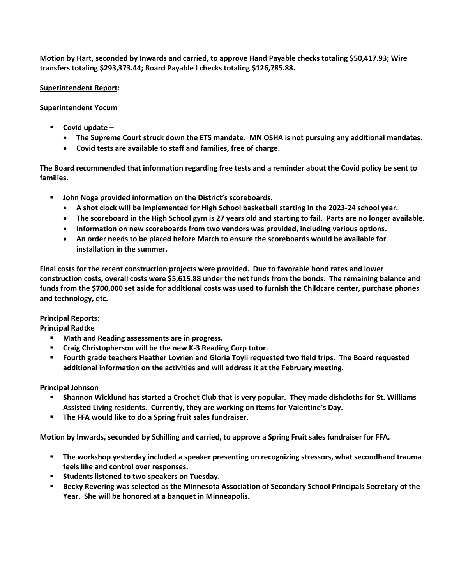**Motion by Hart, seconded by Inwards and carried, to approve Hand Payable checks totaling \$50,417.93; Wire transfers totaling \$293,373.44; Board Payable I checks totaling \$126,785.88.** 

## **Superintendent Report:**

**Superintendent Yocum**

- Covid update
	- **The Supreme Court struck down the ETS mandate. MN OSHA is not pursuing any additional mandates.**
	- **Covid tests are available to staff and families, free of charge.**

**The Board recommended that information regarding free tests and a reminder about the Covid policy be sent to families.**

- § **John Noga provided information on the District's scoreboards.**
	- **A shot clock will be implemented for High School basketball starting in the 2023-24 school year.**
	- **The scoreboard in the High School gym is 27 years old and starting to fail. Parts are no longer available.**
	- **Information on new scoreboards from two vendors was provided, including various options.**
	- **An order needs to be placed before March to ensure the scoreboards would be available for installation in the summer.**

**Final costs for the recent construction projects were provided. Due to favorable bond rates and lower construction costs, overall costs were \$5,615.88 under the net funds from the bonds. The remaining balance and funds from the \$700,000 set aside for additional costs was used to furnish the Childcare center, purchase phones and technology, etc.** 

## **Principal Reports:**

**Principal Radtke**

- § **Math and Reading assessments are in progress.**
- § **Craig Christopherson will be the new K-3 Reading Corp tutor.**
- § **Fourth grade teachers Heather Lovrien and Gloria Toyli requested two field trips. The Board requested additional information on the activities and will address it at the February meeting.**

**Principal Johnson**

- § **Shannon Wicklund has started a Crochet Club that is very popular. They made dishcloths for St. Williams Assisted Living residents. Currently, they are working on items for Valentine's Day.**
- § **The FFA would like to do a Spring fruit sales fundraiser.**

**Motion by Inwards, seconded by Schilling and carried, to approve a Spring Fruit sales fundraiser for FFA.**

- § **The workshop yesterday included a speaker presenting on recognizing stressors, what secondhand trauma feels like and control over responses.**
- § **Students listened to two speakers on Tuesday.**
- § **Becky Revering was selected as the Minnesota Association of Secondary School Principals Secretary of the Year. She will be honored at a banquet in Minneapolis.**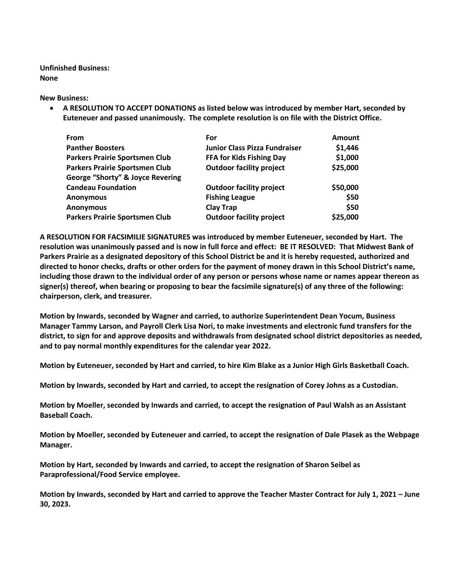**Unfinished Business: None**

**New Business:**

• **A RESOLUTION TO ACCEPT DONATIONS as listed below was introduced by member Hart, seconded by Euteneuer and passed unanimously. The complete resolution is on file with the District Office.** 

| <b>From</b>                           | For                                  | Amount   |
|---------------------------------------|--------------------------------------|----------|
| <b>Panther Boosters</b>               | <b>Junior Class Pizza Fundraiser</b> | \$1,446  |
| <b>Parkers Prairie Sportsmen Club</b> | FFA for Kids Fishing Day             | \$1,000  |
| <b>Parkers Prairie Sportsmen Club</b> | <b>Outdoor facility project</b>      | \$25,000 |
| George "Shorty" & Joyce Revering      |                                      |          |
| <b>Candeau Foundation</b>             | <b>Outdoor facility project</b>      | \$50,000 |
| <b>Anonymous</b>                      | <b>Fishing League</b>                | \$50     |
| <b>Anonymous</b>                      | <b>Clay Trap</b>                     | \$50     |
| <b>Parkers Prairie Sportsmen Club</b> | <b>Outdoor facility project</b>      | \$25,000 |

**A RESOLUTION FOR FACSIMILIE SIGNATURES was introduced by member Euteneuer, seconded by Hart. The resolution was unanimously passed and is now in full force and effect: BE IT RESOLVED: That Midwest Bank of Parkers Prairie as a designated depository of this School District be and it is hereby requested, authorized and directed to honor checks, drafts or other orders for the payment of money drawn in this School District's name, including those drawn to the individual order of any person or persons whose name or names appear thereon as signer(s) thereof, when bearing or proposing to bear the facsimile signature(s) of any three of the following: chairperson, clerk, and treasurer.**

**Motion by Inwards, seconded by Wagner and carried, to authorize Superintendent Dean Yocum, Business Manager Tammy Larson, and Payroll Clerk Lisa Nori, to make investments and electronic fund transfers for the district, to sign for and approve deposits and withdrawals from designated school district depositories as needed, and to pay normal monthly expenditures for the calendar year 2022.**

**Motion by Euteneuer, seconded by Hart and carried, to hire Kim Blake as a Junior High Girls Basketball Coach.**

**Motion by Inwards, seconded by Hart and carried, to accept the resignation of Corey Johns as a Custodian.** 

**Motion by Moeller, seconded by Inwards and carried, to accept the resignation of Paul Walsh as an Assistant Baseball Coach.** 

**Motion by Moeller, seconded by Euteneuer and carried, to accept the resignation of Dale Plasek as the Webpage Manager.** 

**Motion by Hart, seconded by Inwards and carried, to accept the resignation of Sharon Seibel as Paraprofessional/Food Service employee.** 

**Motion by Inwards, seconded by Hart and carried to approve the Teacher Master Contract for July 1, 2021 – June 30, 2023.**